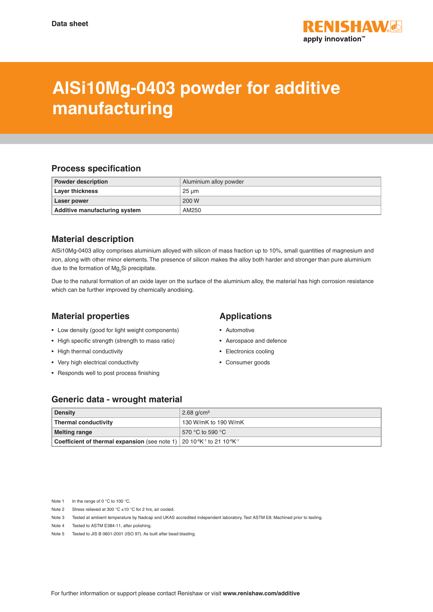

# **AlSi10Mg-0403 powder for additive manufacturing**

#### **Process specification**

| <b>Powder description</b>     | Aluminium alloy powder |
|-------------------------------|------------------------|
| <b>Layer thickness</b>        | 25 um                  |
| Laser power                   | 200 W                  |
| Additive manufacturing system | AM250                  |

# **Material description**

AlSi10Mg-0403 alloy comprises aluminium alloyed with silicon of mass fraction up to 10%, small quantities of magnesium and iron, along with other minor elements. The presence of silicon makes the alloy both harder and stronger than pure aluminium due to the formation of  $Mg<sub>2</sub>Si$  precipitate.

Due to the natural formation of an oxide layer on the surface of the aluminium alloy, the material has high corrosion resistance which can be further improved by chemically anodising.

## **Material properties**

- Low density (good for light weight components)
- High specific strength (strength to mass ratio)
- High thermal conductivity
- Very high electrical conductivity
- Responds well to post process finishing

## **Applications**

- Automotive
- Aerospace and defence
- Electronics cooling
- Consumer goods

#### **Generic data - wrought material**

| <b>Density</b>                                                                                                                  | $2.68$ g/cm <sup>3</sup> |
|---------------------------------------------------------------------------------------------------------------------------------|--------------------------|
| <b>Thermal conductivity</b>                                                                                                     | 130 W/mK to 190 W/mK     |
| <b>Melting range</b>                                                                                                            | 570 °C to 590 °C         |
| <b>Coefficient of thermal expansion</b> (see note 1) 20 10 <sup>-6</sup> K <sup>-1</sup> to 21 10 <sup>-6</sup> K <sup>-1</sup> |                          |

Note 1 In the range of 0 °C to 100 °C.

- Note 2 Stress relieved at 300 °C ±10 °C for 2 hrs, air cooled.
- Note 3 Tested at ambient temperature by Nadcap and UKAS accredited independent laboratory. Test ASTM E8. Machined prior to testing.
- Note 4 Tested to ASTM E384-11, after polishing.
- Note 5 Tested to JIS B 0601-2001 (ISO 97). As built after bead blasting.